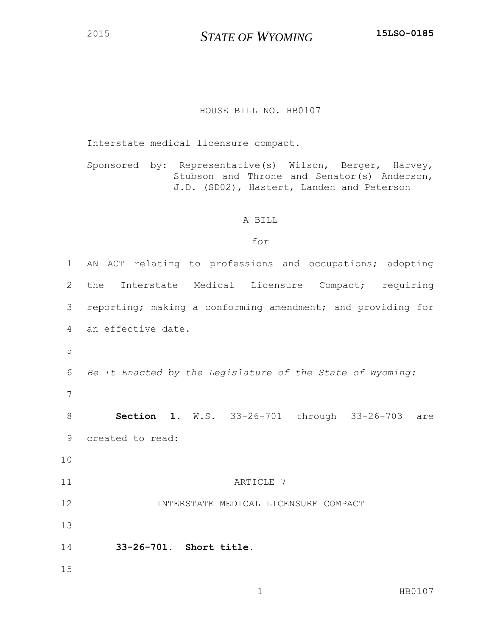## HOUSE BILL NO. HB0107

Interstate medical licensure compact.

Sponsored by: Representative(s) Wilson, Berger, Harvey, Stubson and Throne and Senator(s) Anderson, J.D. (SD02), Hastert, Landen and Peterson

## A BILL

## for

| $\mathbf 1$ | AN ACT relating to professions and occupations; adopting    |
|-------------|-------------------------------------------------------------|
| 2           | Interstate Medical Licensure Compact; requiring<br>the      |
| 3           | reporting; making a conforming amendment; and providing for |
| 4           | an effective date.                                          |
| 5           |                                                             |
| 6           | Be It Enacted by the Legislature of the State of Wyoming:   |
| 7           |                                                             |
| 8           | <b>Section 1.</b> W.S. 33-26-701 through 33-26-703 are      |
| 9           | created to read:                                            |
| 10          |                                                             |
| 11          | ARTICLE 7                                                   |
| 12          | INTERSTATE MEDICAL LICENSURE COMPACT                        |
| 13          |                                                             |
| 14          | 33-26-701. Short title.                                     |
| 15          |                                                             |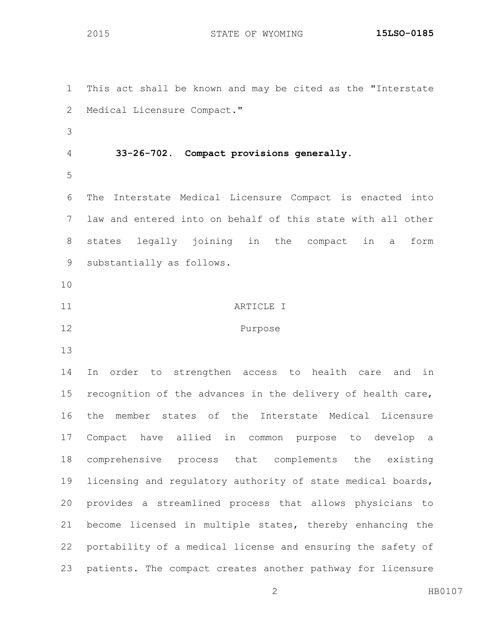This act shall be known and may be cited as the "Interstate Medical Licensure Compact." **33-26-702. Compact provisions generally.** The Interstate Medical Licensure Compact is enacted into law and entered into on behalf of this state with all other states legally joining in the compact in a form substantially as follows. 11 ARTICLE I Purpose In order to strengthen access to health care and in recognition of the advances in the delivery of health care, the member states of the Interstate Medical Licensure Compact have allied in common purpose to develop a comprehensive process that complements the existing licensing and regulatory authority of state medical boards, provides a streamlined process that allows physicians to become licensed in multiple states, thereby enhancing the portability of a medical license and ensuring the safety of patients. The compact creates another pathway for licensure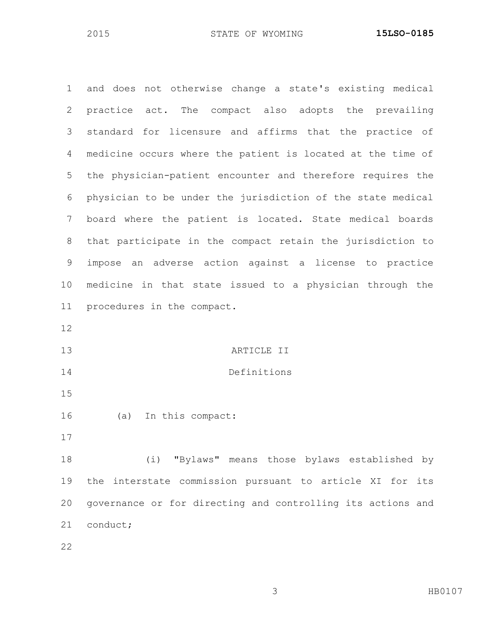and does not otherwise change a state's existing medical practice act. The compact also adopts the prevailing standard for licensure and affirms that the practice of medicine occurs where the patient is located at the time of the physician-patient encounter and therefore requires the physician to be under the jurisdiction of the state medical board where the patient is located. State medical boards that participate in the compact retain the jurisdiction to impose an adverse action against a license to practice medicine in that state issued to a physician through the procedures in the compact. ARTICLE II Definitions (a) In this compact: (i) "Bylaws" means those bylaws established by the interstate commission pursuant to article XI for its governance or for directing and controlling its actions and conduct;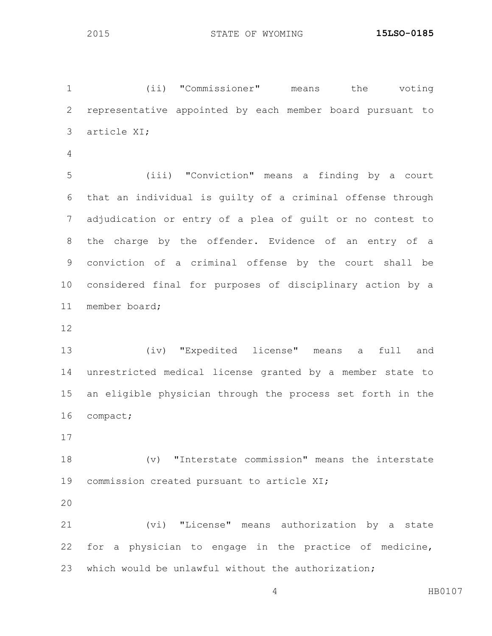(ii) "Commissioner" means the voting representative appointed by each member board pursuant to article XI;

 (iii) "Conviction" means a finding by a court that an individual is guilty of a criminal offense through adjudication or entry of a plea of guilt or no contest to the charge by the offender. Evidence of an entry of a conviction of a criminal offense by the court shall be considered final for purposes of disciplinary action by a member board;

 (iv) "Expedited license" means a full and unrestricted medical license granted by a member state to an eligible physician through the process set forth in the compact;

 (v) "Interstate commission" means the interstate commission created pursuant to article XI;

 (vi) "License" means authorization by a state for a physician to engage in the practice of medicine, which would be unlawful without the authorization;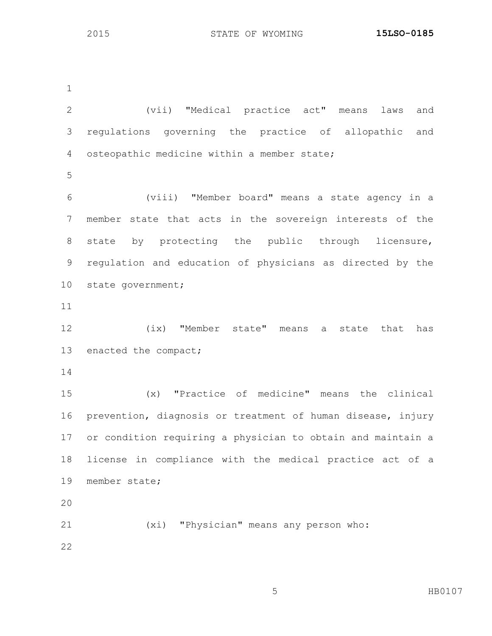(vii) "Medical practice act" means laws and regulations governing the practice of allopathic and osteopathic medicine within a member state; (viii) "Member board" means a state agency in a member state that acts in the sovereign interests of the state by protecting the public through licensure, regulation and education of physicians as directed by the state government; (ix) "Member state" means a state that has 13 enacted the compact; (x) "Practice of medicine" means the clinical prevention, diagnosis or treatment of human disease, injury or condition requiring a physician to obtain and maintain a license in compliance with the medical practice act of a member state; (xi) "Physician" means any person who: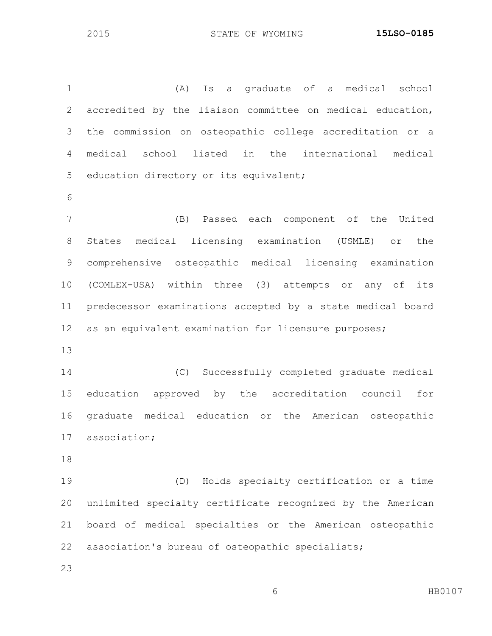(A) Is a graduate of a medical school accredited by the liaison committee on medical education, the commission on osteopathic college accreditation or a medical school listed in the international medical education directory or its equivalent; (B) Passed each component of the United States medical licensing examination (USMLE) or the comprehensive osteopathic medical licensing examination (COMLEX-USA) within three (3) attempts or any of its predecessor examinations accepted by a state medical board as an equivalent examination for licensure purposes; (C) Successfully completed graduate medical education approved by the accreditation council for graduate medical education or the American osteopathic association; (D) Holds specialty certification or a time unlimited specialty certificate recognized by the American board of medical specialties or the American osteopathic

association's bureau of osteopathic specialists;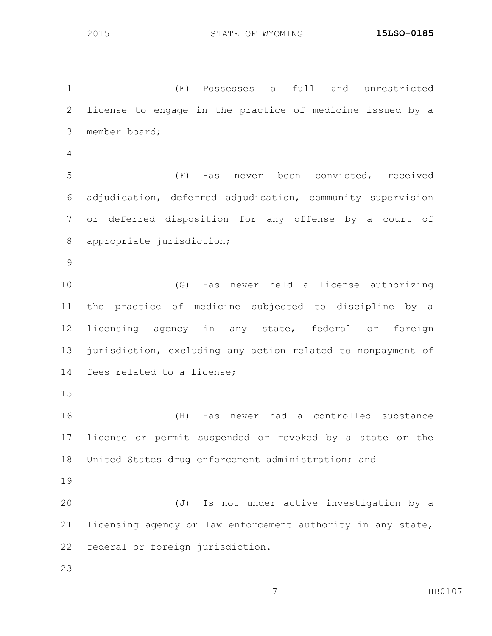(E) Possesses a full and unrestricted license to engage in the practice of medicine issued by a member board; (F) Has never been convicted, received adjudication, deferred adjudication, community supervision or deferred disposition for any offense by a court of appropriate jurisdiction; (G) Has never held a license authorizing the practice of medicine subjected to discipline by a licensing agency in any state, federal or foreign jurisdiction, excluding any action related to nonpayment of fees related to a license; (H) Has never had a controlled substance license or permit suspended or revoked by a state or the United States drug enforcement administration; and (J) Is not under active investigation by a licensing agency or law enforcement authority in any state, federal or foreign jurisdiction.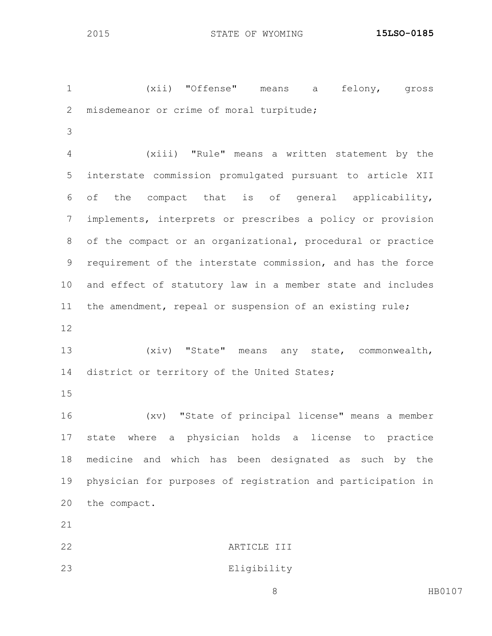(xii) "Offense" means a felony, gross misdemeanor or crime of moral turpitude;

 (xiii) "Rule" means a written statement by the interstate commission promulgated pursuant to article XII of the compact that is of general applicability, implements, interprets or prescribes a policy or provision of the compact or an organizational, procedural or practice requirement of the interstate commission, and has the force and effect of statutory law in a member state and includes the amendment, repeal or suspension of an existing rule;

 (xiv) "State" means any state, commonwealth, 14 district or territory of the United States;

 (xv) "State of principal license" means a member state where a physician holds a license to practice medicine and which has been designated as such by the physician for purposes of registration and participation in the compact.

ARTICLE III

Eligibility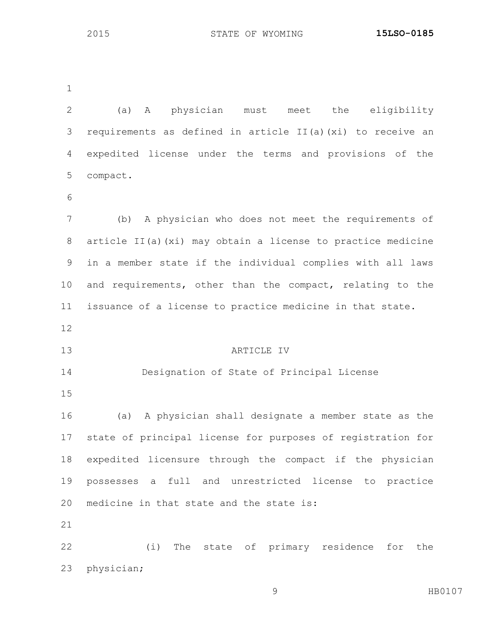(a) A physician must meet the eligibility requirements as defined in article II(a)(xi) to receive an expedited license under the terms and provisions of the compact. (b) A physician who does not meet the requirements of article II(a)(xi) may obtain a license to practice medicine in a member state if the individual complies with all laws and requirements, other than the compact, relating to the issuance of a license to practice medicine in that state. ARTICLE IV Designation of State of Principal License (a) A physician shall designate a member state as the state of principal license for purposes of registration for expedited licensure through the compact if the physician possesses a full and unrestricted license to practice medicine in that state and the state is: (i) The state of primary residence for the physician;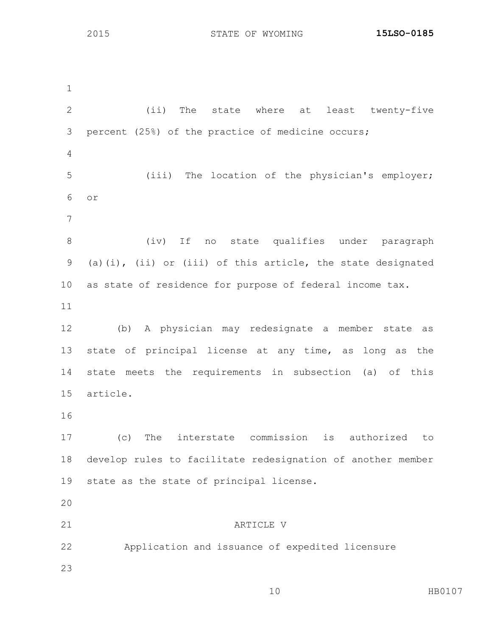(ii) The state where at least twenty-five percent (25%) of the practice of medicine occurs; (iii) The location of the physician's employer; or (iv) If no state qualifies under paragraph (a)(i), (ii) or (iii) of this article, the state designated as state of residence for purpose of federal income tax. (b) A physician may redesignate a member state as state of principal license at any time, as long as the state meets the requirements in subsection (a) of this article. (c) The interstate commission is authorized to develop rules to facilitate redesignation of another member state as the state of principal license. ARTICLE V Application and issuance of expedited licensure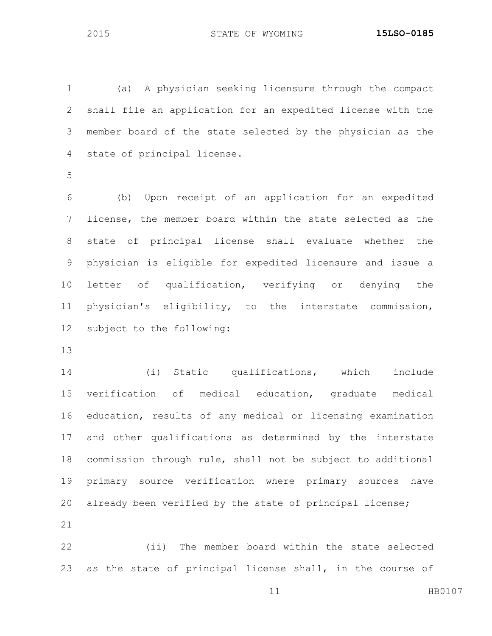(a) A physician seeking licensure through the compact shall file an application for an expedited license with the member board of the state selected by the physician as the state of principal license.

 (b) Upon receipt of an application for an expedited license, the member board within the state selected as the state of principal license shall evaluate whether the physician is eligible for expedited licensure and issue a letter of qualification, verifying or denying the physician's eligibility, to the interstate commission, subject to the following:

 (i) Static qualifications, which include verification of medical education, graduate medical education, results of any medical or licensing examination and other qualifications as determined by the interstate commission through rule, shall not be subject to additional primary source verification where primary sources have already been verified by the state of principal license; 

 (ii) The member board within the state selected as the state of principal license shall, in the course of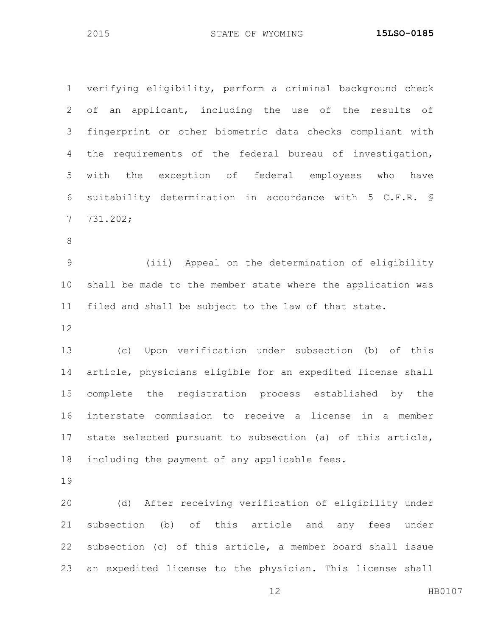verifying eligibility, perform a criminal background check of an applicant, including the use of the results of fingerprint or other biometric data checks compliant with the requirements of the federal bureau of investigation, with the exception of federal employees who have suitability determination in accordance with 5 C.F.R. § 731.202;

 (iii) Appeal on the determination of eligibility shall be made to the member state where the application was filed and shall be subject to the law of that state.

 (c) Upon verification under subsection (b) of this article, physicians eligible for an expedited license shall complete the registration process established by the interstate commission to receive a license in a member state selected pursuant to subsection (a) of this article, including the payment of any applicable fees.

 (d) After receiving verification of eligibility under subsection (b) of this article and any fees under subsection (c) of this article, a member board shall issue an expedited license to the physician. This license shall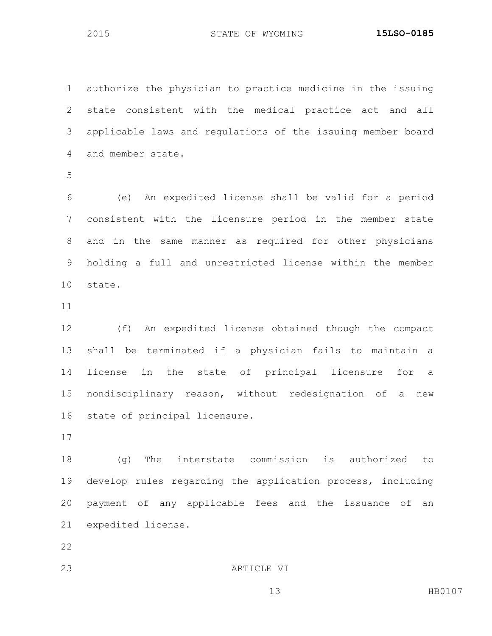authorize the physician to practice medicine in the issuing state consistent with the medical practice act and all applicable laws and regulations of the issuing member board and member state.

 (e) An expedited license shall be valid for a period consistent with the licensure period in the member state and in the same manner as required for other physicians holding a full and unrestricted license within the member state.

 (f) An expedited license obtained though the compact shall be terminated if a physician fails to maintain a license in the state of principal licensure for a nondisciplinary reason, without redesignation of a new state of principal licensure.

 (g) The interstate commission is authorized to develop rules regarding the application process, including payment of any applicable fees and the issuance of an expedited license.

ARTICLE VI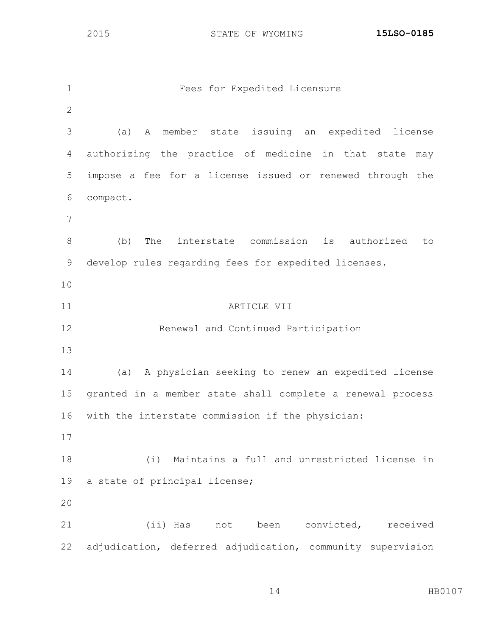| $\mathbf 1$    | Fees for Expedited Licensure                               |
|----------------|------------------------------------------------------------|
| $\mathbf{2}$   |                                                            |
| 3              | member state issuing an expedited<br>(a)<br>A<br>license   |
| $\overline{4}$ | authorizing the practice of medicine in that state may     |
| 5              | impose a fee for a license issued or renewed through the   |
| 6              | compact.                                                   |
| 7              |                                                            |
| 8              | The interstate commission is authorized<br>(b)<br>to       |
| $\mathsf 9$    | develop rules regarding fees for expedited licenses.       |
| 10             |                                                            |
| 11             | ARTICLE VII                                                |
| 12             | Renewal and Continued Participation                        |
| 13             |                                                            |
| 14             | (a) A physician seeking to renew an expedited license      |
| 15             | granted in a member state shall complete a renewal process |
| 16             | with the interstate commission if the physician:           |
| 17             |                                                            |
| 18             | Maintains a full and unrestricted license in<br>(i)        |
| 19             | a state of principal license;                              |
| 20             |                                                            |
| 21             | (ii) Has not<br>convicted, received<br>been                |
| 22             | adjudication, deferred adjudication, community supervision |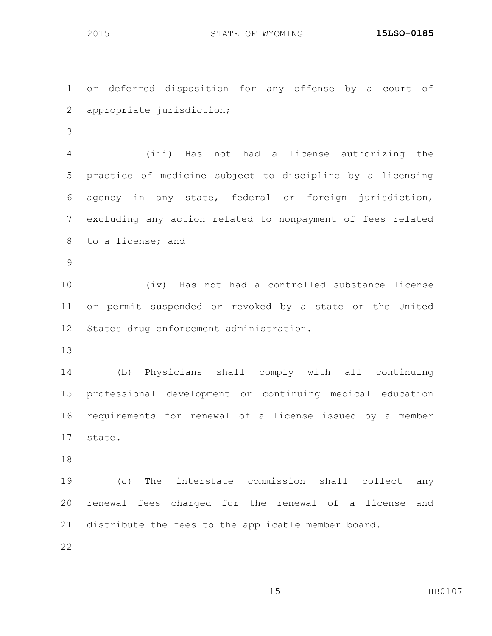or deferred disposition for any offense by a court of appropriate jurisdiction; (iii) Has not had a license authorizing the practice of medicine subject to discipline by a licensing agency in any state, federal or foreign jurisdiction, excluding any action related to nonpayment of fees related to a license; and (iv) Has not had a controlled substance license or permit suspended or revoked by a state or the United States drug enforcement administration. (b) Physicians shall comply with all continuing professional development or continuing medical education requirements for renewal of a license issued by a member state. (c) The interstate commission shall collect any renewal fees charged for the renewal of a license and distribute the fees to the applicable member board.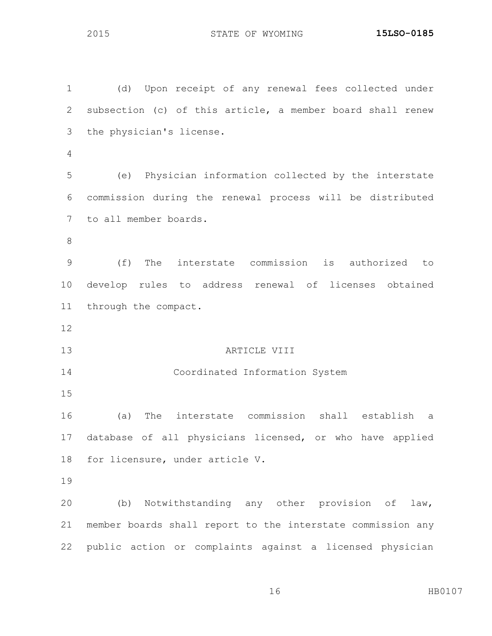(d) Upon receipt of any renewal fees collected under subsection (c) of this article, a member board shall renew the physician's license. (e) Physician information collected by the interstate commission during the renewal process will be distributed to all member boards. (f) The interstate commission is authorized to develop rules to address renewal of licenses obtained through the compact. **ARTICLE VIII**  Coordinated Information System (a) The interstate commission shall establish a database of all physicians licensed, or who have applied for licensure, under article V. (b) Notwithstanding any other provision of law, member boards shall report to the interstate commission any public action or complaints against a licensed physician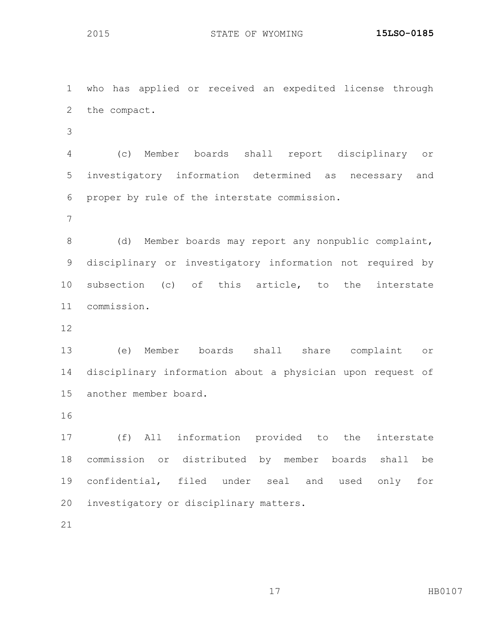who has applied or received an expedited license through the compact. (c) Member boards shall report disciplinary or investigatory information determined as necessary and proper by rule of the interstate commission. (d) Member boards may report any nonpublic complaint, disciplinary or investigatory information not required by subsection (c) of this article, to the interstate commission. (e) Member boards shall share complaint or disciplinary information about a physician upon request of another member board. (f) All information provided to the interstate commission or distributed by member boards shall be

 confidential, filed under seal and used only for investigatory or disciplinary matters.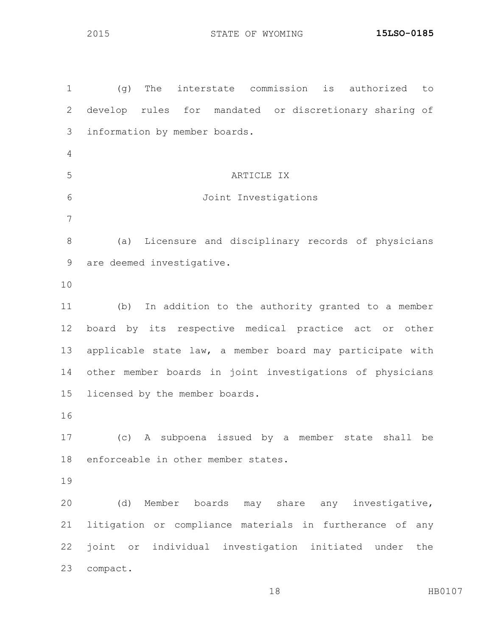(g) The interstate commission is authorized to develop rules for mandated or discretionary sharing of information by member boards. ARTICLE IX Joint Investigations (a) Licensure and disciplinary records of physicians are deemed investigative. (b) In addition to the authority granted to a member board by its respective medical practice act or other applicable state law, a member board may participate with other member boards in joint investigations of physicians licensed by the member boards. (c) A subpoena issued by a member state shall be enforceable in other member states. (d) Member boards may share any investigative, litigation or compliance materials in furtherance of any joint or individual investigation initiated under the compact.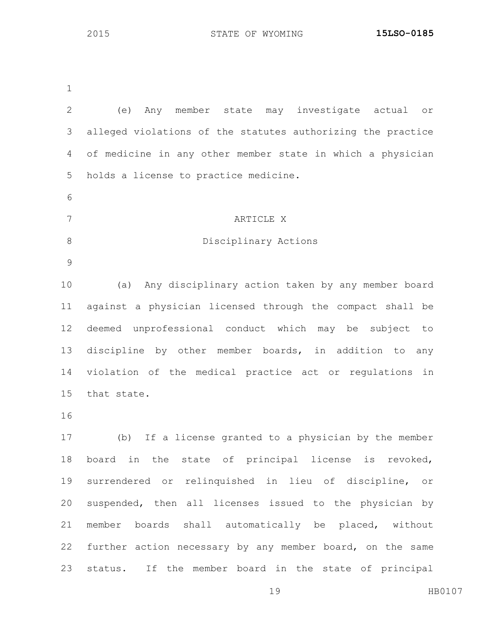| $\mathbf{2}$ | Any member state may investigate actual<br>(e)<br>$\circ$ r  |
|--------------|--------------------------------------------------------------|
| 3            | alleged violations of the statutes authorizing the practice  |
| 4            | of medicine in any other member state in which a physician   |
| 5            | holds a license to practice medicine.                        |
| 6            |                                                              |
| 7            | ARTICLE X                                                    |
| $\,8\,$      | Disciplinary Actions                                         |
| $\mathsf 9$  |                                                              |
| 10           | (a) Any disciplinary action taken by any member board        |
| 11           | against a physician licensed through the compact shall be    |
| 12           | deemed unprofessional conduct which may be subject<br>to     |
| 13           | discipline by other member boards, in addition to<br>any     |
| 14           | violation of the medical practice act or regulations<br>in   |
| 15           | that state.                                                  |
| 16           |                                                              |
| 17           | (b) If a license granted to a physician by the member        |
| 18           | board in the state of principal<br>license<br>is<br>revoked, |
| 19           | surrendered or relinquished in lieu of discipline, or        |
| 20           | suspended, then all licenses issued to the physician by      |
| 21           | boards shall automatically be placed, without<br>member      |
| 22           | further action necessary by any member board, on the same    |
| 23           | If the member board in the state of principal<br>status.     |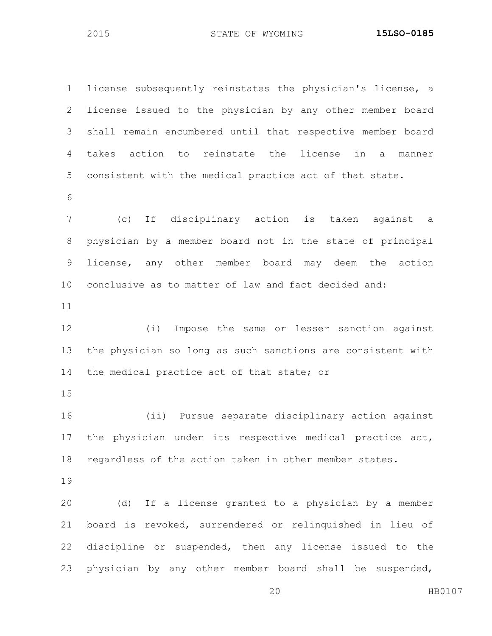license subsequently reinstates the physician's license, a license issued to the physician by any other member board shall remain encumbered until that respective member board takes action to reinstate the license in a manner consistent with the medical practice act of that state. (c) If disciplinary action is taken against a physician by a member board not in the state of principal license, any other member board may deem the action conclusive as to matter of law and fact decided and: (i) Impose the same or lesser sanction against the physician so long as such sanctions are consistent with 14 the medical practice act of that state; or (ii) Pursue separate disciplinary action against the physician under its respective medical practice act, regardless of the action taken in other member states. (d) If a license granted to a physician by a member board is revoked, surrendered or relinquished in lieu of discipline or suspended, then any license issued to the physician by any other member board shall be suspended,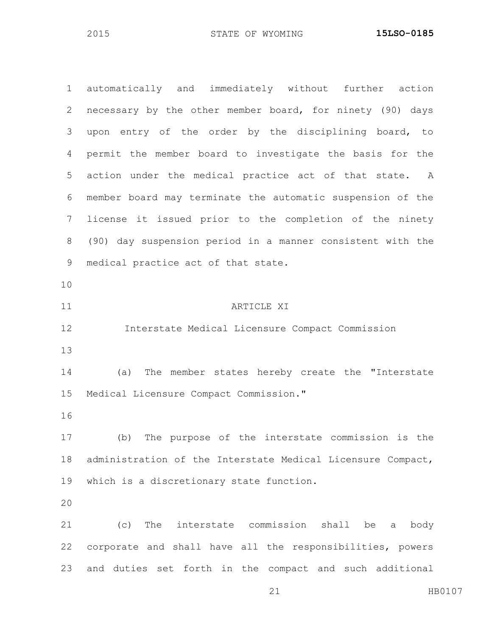automatically and immediately without further action necessary by the other member board, for ninety (90) days upon entry of the order by the disciplining board, to permit the member board to investigate the basis for the action under the medical practice act of that state. A member board may terminate the automatic suspension of the license it issued prior to the completion of the ninety (90) day suspension period in a manner consistent with the medical practice act of that state. ARTICLE XI Interstate Medical Licensure Compact Commission (a) The member states hereby create the "Interstate Medical Licensure Compact Commission." (b) The purpose of the interstate commission is the administration of the Interstate Medical Licensure Compact, which is a discretionary state function. (c) The interstate commission shall be a body corporate and shall have all the responsibilities, powers and duties set forth in the compact and such additional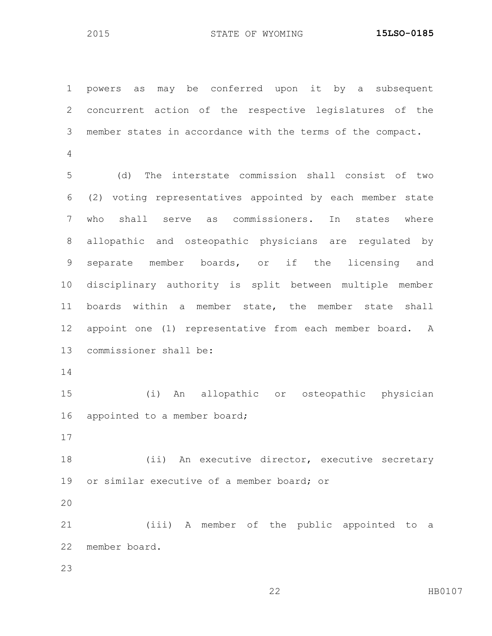powers as may be conferred upon it by a subsequent concurrent action of the respective legislatures of the member states in accordance with the terms of the compact.

 (d) The interstate commission shall consist of two (2) voting representatives appointed by each member state who shall serve as commissioners. In states where allopathic and osteopathic physicians are regulated by separate member boards, or if the licensing and disciplinary authority is split between multiple member boards within a member state, the member state shall appoint one (1) representative from each member board. A commissioner shall be:

 (i) An allopathic or osteopathic physician 16 appointed to a member board;

18 (ii) An executive director, executive secretary or similar executive of a member board; or

 (iii) A member of the public appointed to a member board.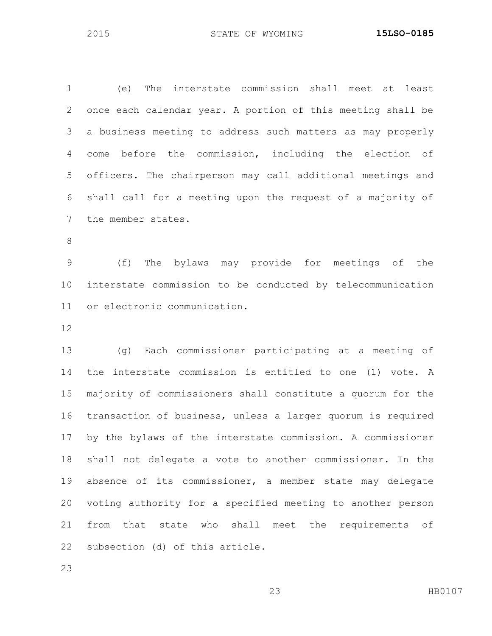(e) The interstate commission shall meet at least once each calendar year. A portion of this meeting shall be a business meeting to address such matters as may properly come before the commission, including the election of officers. The chairperson may call additional meetings and shall call for a meeting upon the request of a majority of the member states.

 (f) The bylaws may provide for meetings of the interstate commission to be conducted by telecommunication or electronic communication.

 (g) Each commissioner participating at a meeting of the interstate commission is entitled to one (1) vote. A majority of commissioners shall constitute a quorum for the transaction of business, unless a larger quorum is required by the bylaws of the interstate commission. A commissioner shall not delegate a vote to another commissioner. In the absence of its commissioner, a member state may delegate voting authority for a specified meeting to another person from that state who shall meet the requirements of subsection (d) of this article.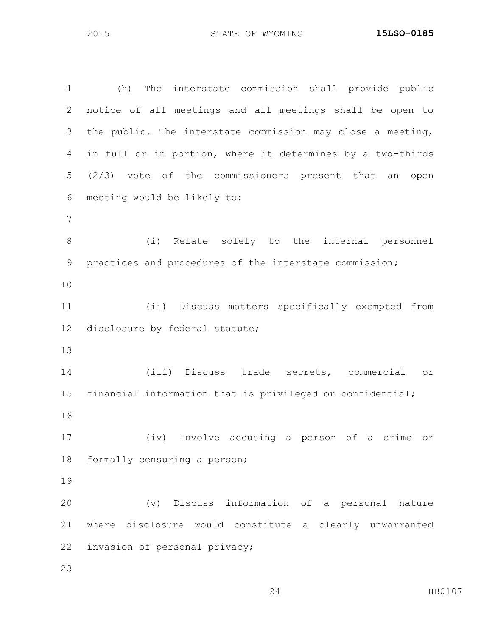(h) The interstate commission shall provide public notice of all meetings and all meetings shall be open to the public. The interstate commission may close a meeting, in full or in portion, where it determines by a two-thirds (2/3) vote of the commissioners present that an open meeting would be likely to: (i) Relate solely to the internal personnel practices and procedures of the interstate commission; (ii) Discuss matters specifically exempted from disclosure by federal statute; (iii) Discuss trade secrets, commercial or financial information that is privileged or confidential; (iv) Involve accusing a person of a crime or formally censuring a person; (v) Discuss information of a personal nature where disclosure would constitute a clearly unwarranted invasion of personal privacy;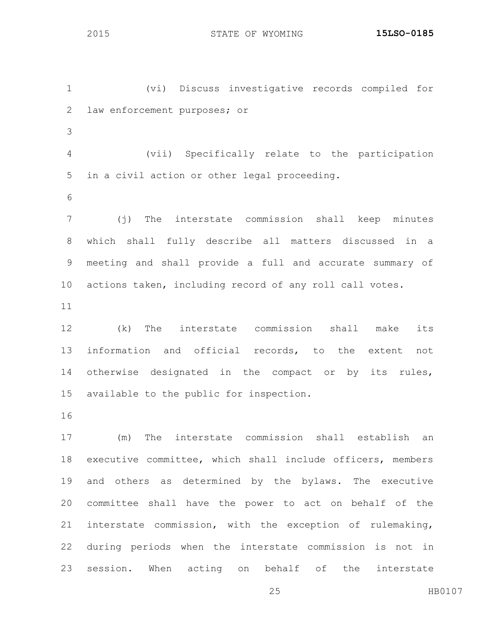(vi) Discuss investigative records compiled for law enforcement purposes; or 

- (vii) Specifically relate to the participation in a civil action or other legal proceeding.
	-

 (j) The interstate commission shall keep minutes which shall fully describe all matters discussed in a meeting and shall provide a full and accurate summary of actions taken, including record of any roll call votes.

 (k) The interstate commission shall make its information and official records, to the extent not 14 otherwise designated in the compact or by its rules, available to the public for inspection.

 (m) The interstate commission shall establish an executive committee, which shall include officers, members and others as determined by the bylaws. The executive committee shall have the power to act on behalf of the interstate commission, with the exception of rulemaking, during periods when the interstate commission is not in session. When acting on behalf of the interstate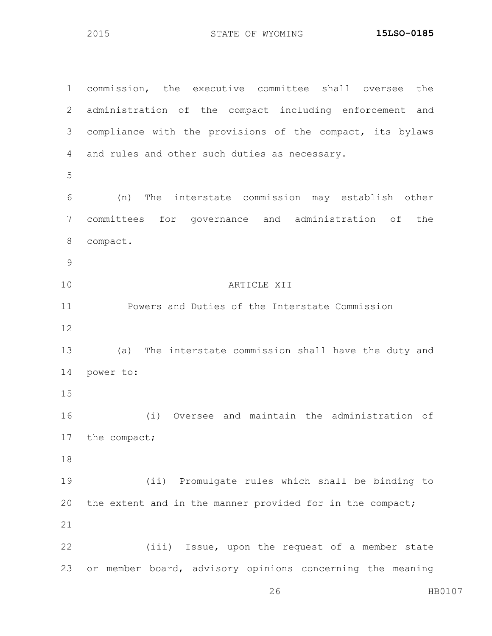commission, the executive committee shall oversee the administration of the compact including enforcement and compliance with the provisions of the compact, its bylaws and rules and other such duties as necessary. (n) The interstate commission may establish other committees for governance and administration of the compact. ARTICLE XII Powers and Duties of the Interstate Commission (a) The interstate commission shall have the duty and power to: (i) Oversee and maintain the administration of the compact; (ii) Promulgate rules which shall be binding to the extent and in the manner provided for in the compact; (iii) Issue, upon the request of a member state or member board, advisory opinions concerning the meaning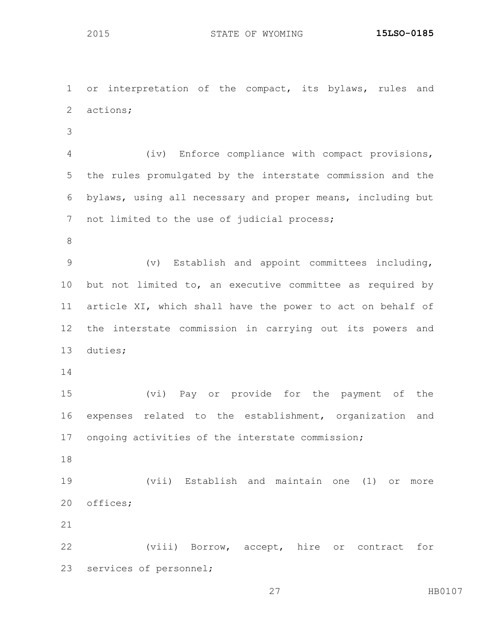or interpretation of the compact, its bylaws, rules and actions;

 (iv) Enforce compliance with compact provisions, the rules promulgated by the interstate commission and the bylaws, using all necessary and proper means, including but not limited to the use of judicial process;

 (v) Establish and appoint committees including, but not limited to, an executive committee as required by article XI, which shall have the power to act on behalf of the interstate commission in carrying out its powers and duties;

 (vi) Pay or provide for the payment of the expenses related to the establishment, organization and ongoing activities of the interstate commission;

 (vii) Establish and maintain one (1) or more offices;

 (viii) Borrow, accept, hire or contract for services of personnel;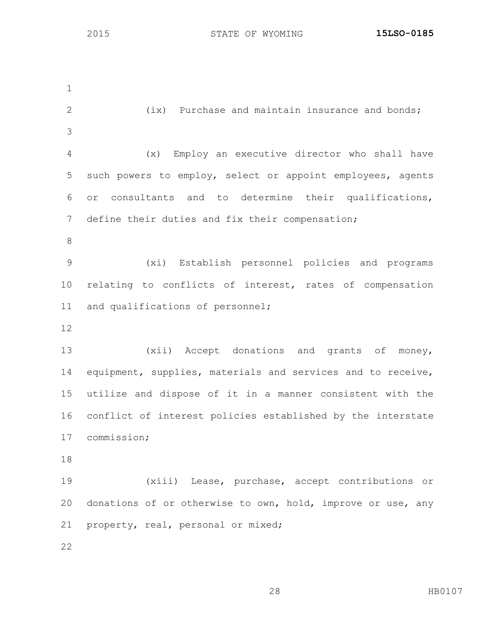2 (ix) Purchase and maintain insurance and bonds; (x) Employ an executive director who shall have such powers to employ, select or appoint employees, agents or consultants and to determine their qualifications, define their duties and fix their compensation; (xi) Establish personnel policies and programs relating to conflicts of interest, rates of compensation and qualifications of personnel; (xii) Accept donations and grants of money, equipment, supplies, materials and services and to receive, utilize and dispose of it in a manner consistent with the conflict of interest policies established by the interstate commission; (xiii) Lease, purchase, accept contributions or donations of or otherwise to own, hold, improve or use, any property, real, personal or mixed;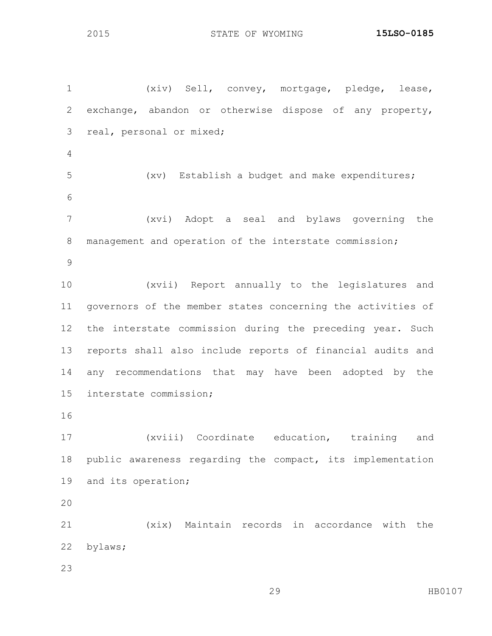(xiv) Sell, convey, mortgage, pledge, lease, exchange, abandon or otherwise dispose of any property, real, personal or mixed; (xv) Establish a budget and make expenditures; (xvi) Adopt a seal and bylaws governing the management and operation of the interstate commission; (xvii) Report annually to the legislatures and governors of the member states concerning the activities of the interstate commission during the preceding year. Such reports shall also include reports of financial audits and any recommendations that may have been adopted by the interstate commission; (xviii) Coordinate education, training and public awareness regarding the compact, its implementation and its operation; (xix) Maintain records in accordance with the bylaws;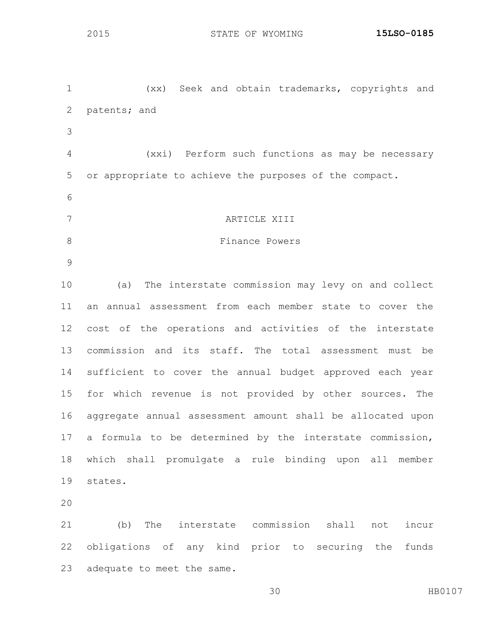(xx) Seek and obtain trademarks, copyrights and patents; and (xxi) Perform such functions as may be necessary or appropriate to achieve the purposes of the compact. ARTICLE XIII 8 Finance Powers (a) The interstate commission may levy on and collect an annual assessment from each member state to cover the cost of the operations and activities of the interstate commission and its staff. The total assessment must be sufficient to cover the annual budget approved each year for which revenue is not provided by other sources. The aggregate annual assessment amount shall be allocated upon a formula to be determined by the interstate commission, which shall promulgate a rule binding upon all member states. (b) The interstate commission shall not incur obligations of any kind prior to securing the funds

adequate to meet the same.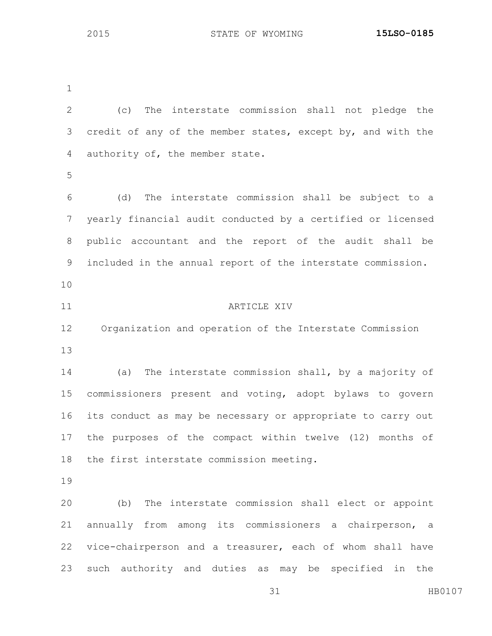(c) The interstate commission shall not pledge the credit of any of the member states, except by, and with the authority of, the member state. (d) The interstate commission shall be subject to a yearly financial audit conducted by a certified or licensed public accountant and the report of the audit shall be included in the annual report of the interstate commission. **ARTICLE XIV**  Organization and operation of the Interstate Commission (a) The interstate commission shall, by a majority of commissioners present and voting, adopt bylaws to govern its conduct as may be necessary or appropriate to carry out the purposes of the compact within twelve (12) months of the first interstate commission meeting. (b) The interstate commission shall elect or appoint annually from among its commissioners a chairperson, a vice-chairperson and a treasurer, each of whom shall have such authority and duties as may be specified in the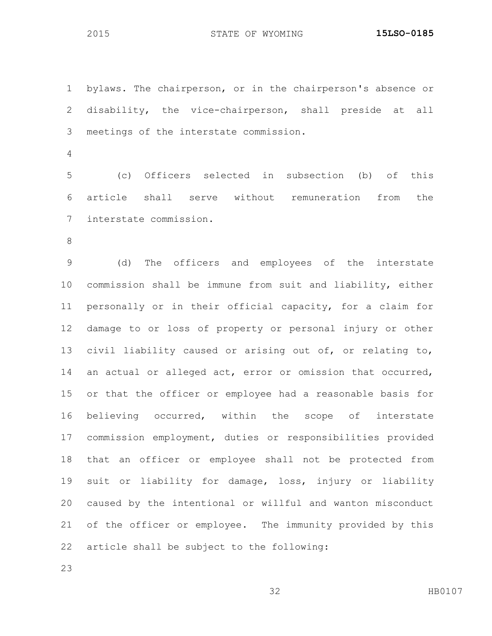bylaws. The chairperson, or in the chairperson's absence or disability, the vice-chairperson, shall preside at all meetings of the interstate commission.

 (c) Officers selected in subsection (b) of this article shall serve without remuneration from the interstate commission.

 (d) The officers and employees of the interstate commission shall be immune from suit and liability, either personally or in their official capacity, for a claim for damage to or loss of property or personal injury or other civil liability caused or arising out of, or relating to, an actual or alleged act, error or omission that occurred, or that the officer or employee had a reasonable basis for believing occurred, within the scope of interstate commission employment, duties or responsibilities provided that an officer or employee shall not be protected from suit or liability for damage, loss, injury or liability caused by the intentional or willful and wanton misconduct of the officer or employee. The immunity provided by this article shall be subject to the following: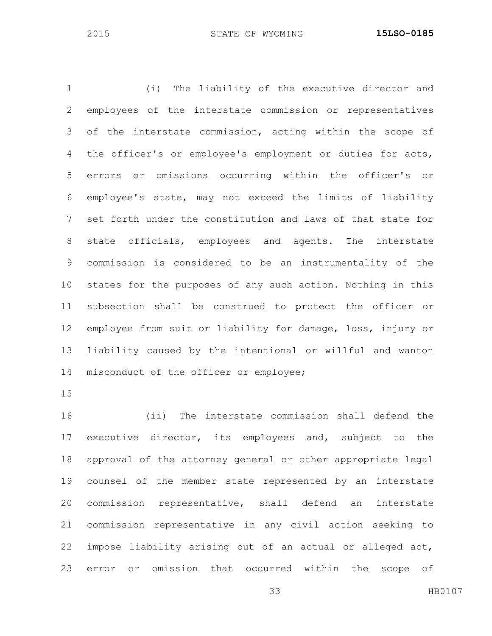(i) The liability of the executive director and employees of the interstate commission or representatives of the interstate commission, acting within the scope of the officer's or employee's employment or duties for acts, errors or omissions occurring within the officer's or employee's state, may not exceed the limits of liability set forth under the constitution and laws of that state for state officials, employees and agents. The interstate commission is considered to be an instrumentality of the states for the purposes of any such action. Nothing in this subsection shall be construed to protect the officer or employee from suit or liability for damage, loss, injury or liability caused by the intentional or willful and wanton misconduct of the officer or employee;

 (ii) The interstate commission shall defend the executive director, its employees and, subject to the approval of the attorney general or other appropriate legal counsel of the member state represented by an interstate commission representative, shall defend an interstate commission representative in any civil action seeking to impose liability arising out of an actual or alleged act, error or omission that occurred within the scope of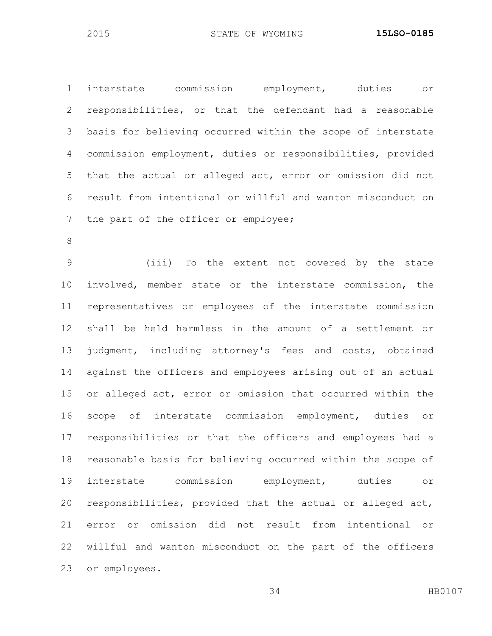interstate commission employment, duties or responsibilities, or that the defendant had a reasonable basis for believing occurred within the scope of interstate commission employment, duties or responsibilities, provided that the actual or alleged act, error or omission did not result from intentional or willful and wanton misconduct on 7 the part of the officer or employee;

 (iii) To the extent not covered by the state involved, member state or the interstate commission, the representatives or employees of the interstate commission shall be held harmless in the amount of a settlement or judgment, including attorney's fees and costs, obtained against the officers and employees arising out of an actual or alleged act, error or omission that occurred within the scope of interstate commission employment, duties or responsibilities or that the officers and employees had a reasonable basis for believing occurred within the scope of interstate commission employment, duties or responsibilities, provided that the actual or alleged act, error or omission did not result from intentional or willful and wanton misconduct on the part of the officers or employees.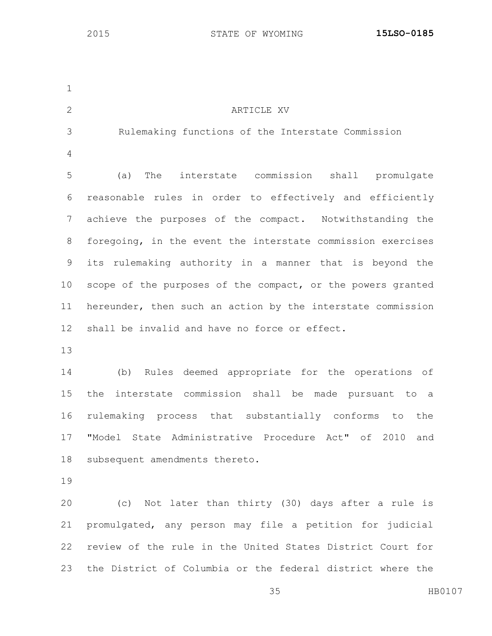| $\mathbf 1$     |                                                             |
|-----------------|-------------------------------------------------------------|
| 2               | ARTICLE XV                                                  |
| 3               | Rulemaking functions of the Interstate Commission           |
| $\overline{4}$  |                                                             |
| 5               | (a) The interstate commission shall promulgate              |
| 6               | reasonable rules in order to effectively and efficiently    |
| 7               | achieve the purposes of the compact. Notwithstanding the    |
| 8               | foregoing, in the event the interstate commission exercises |
| 9               | its rulemaking authority in a manner that is beyond the     |
| 10 <sub>o</sub> | scope of the purposes of the compact, or the powers granted |
| 11              | hereunder, then such an action by the interstate commission |
| 12              | shall be invalid and have no force or effect.               |
| 13              |                                                             |
| 14              | (b) Rules deemed appropriate for the operations of          |
| 15              | interstate commission shall be made pursuant to a<br>the    |
| 16              | rulemaking process that substantially conforms to the       |
|                 | 17 "Model State Administrative Procedure Act" of 2010 and   |
| 18              | subsequent amendments thereto.                              |
| 19              |                                                             |
| 20              | (c) Not later than thirty (30) days after a rule is         |
| 21              | promulgated, any person may file a petition for judicial    |
| 22              | review of the rule in the United States District Court for  |
| 23              | the District of Columbia or the federal district where the  |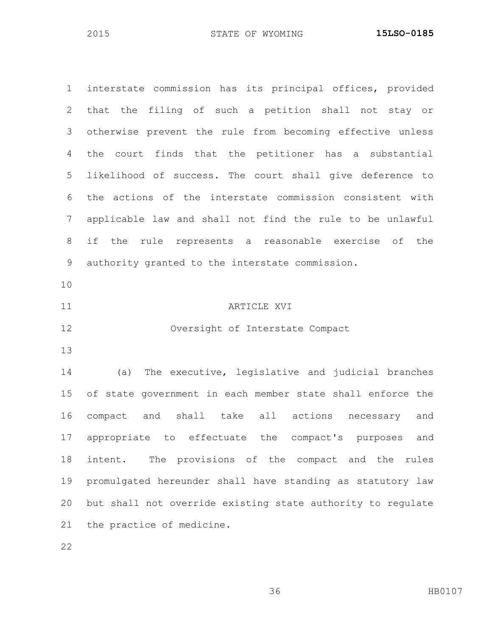interstate commission has its principal offices, provided that the filing of such a petition shall not stay or otherwise prevent the rule from becoming effective unless the court finds that the petitioner has a substantial likelihood of success. The court shall give deference to the actions of the interstate commission consistent with applicable law and shall not find the rule to be unlawful if the rule represents a reasonable exercise of the authority granted to the interstate commission. 11 ARTICLE XVI Oversight of Interstate Compact (a) The executive, legislative and judicial branches of state government in each member state shall enforce the compact and shall take all actions necessary and appropriate to effectuate the compact's purposes and intent. The provisions of the compact and the rules promulgated hereunder shall have standing as statutory law but shall not override existing state authority to regulate the practice of medicine.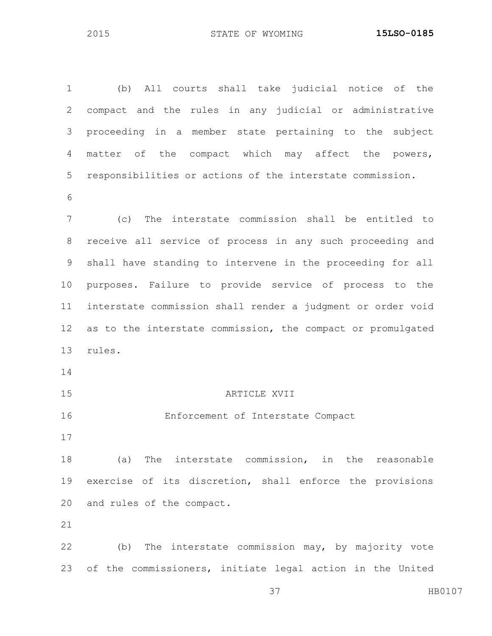(b) All courts shall take judicial notice of the compact and the rules in any judicial or administrative proceeding in a member state pertaining to the subject matter of the compact which may affect the powers, responsibilities or actions of the interstate commission. (c) The interstate commission shall be entitled to receive all service of process in any such proceeding and shall have standing to intervene in the proceeding for all purposes. Failure to provide service of process to the interstate commission shall render a judgment or order void as to the interstate commission, the compact or promulgated rules. ARTICLE XVII Enforcement of Interstate Compact (a) The interstate commission, in the reasonable exercise of its discretion, shall enforce the provisions and rules of the compact. (b) The interstate commission may, by majority vote of the commissioners, initiate legal action in the United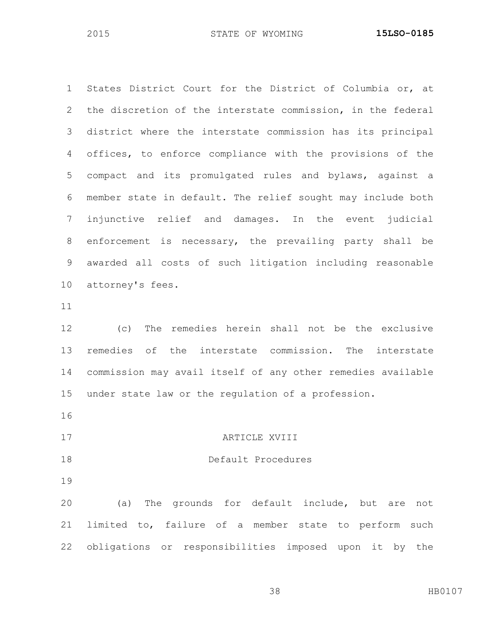States District Court for the District of Columbia or, at the discretion of the interstate commission, in the federal district where the interstate commission has its principal offices, to enforce compliance with the provisions of the compact and its promulgated rules and bylaws, against a member state in default. The relief sought may include both injunctive relief and damages. In the event judicial enforcement is necessary, the prevailing party shall be awarded all costs of such litigation including reasonable attorney's fees. (c) The remedies herein shall not be the exclusive

 remedies of the interstate commission. The interstate commission may avail itself of any other remedies available under state law or the regulation of a profession.

- 
- 17 ARTICLE XVIII
- 

## Default Procedures

 (a) The grounds for default include, but are not limited to, failure of a member state to perform such obligations or responsibilities imposed upon it by the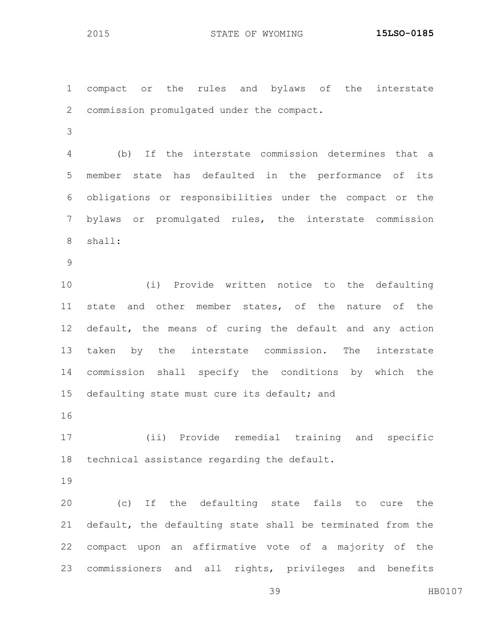compact or the rules and bylaws of the interstate commission promulgated under the compact. (b) If the interstate commission determines that a member state has defaulted in the performance of its obligations or responsibilities under the compact or the bylaws or promulgated rules, the interstate commission shall: (i) Provide written notice to the defaulting state and other member states, of the nature of the

 default, the means of curing the default and any action taken by the interstate commission. The interstate commission shall specify the conditions by which the defaulting state must cure its default; and

 (ii) Provide remedial training and specific technical assistance regarding the default.

 (c) If the defaulting state fails to cure the default, the defaulting state shall be terminated from the compact upon an affirmative vote of a majority of the commissioners and all rights, privileges and benefits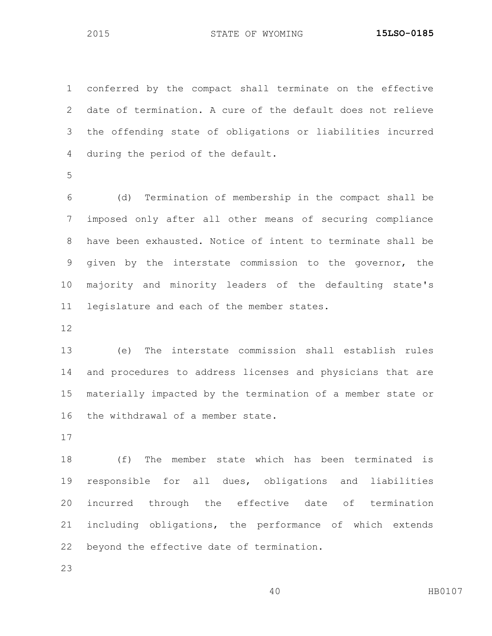conferred by the compact shall terminate on the effective date of termination. A cure of the default does not relieve the offending state of obligations or liabilities incurred during the period of the default.

 (d) Termination of membership in the compact shall be imposed only after all other means of securing compliance have been exhausted. Notice of intent to terminate shall be given by the interstate commission to the governor, the majority and minority leaders of the defaulting state's legislature and each of the member states.

 (e) The interstate commission shall establish rules and procedures to address licenses and physicians that are materially impacted by the termination of a member state or the withdrawal of a member state.

 (f) The member state which has been terminated is responsible for all dues, obligations and liabilities incurred through the effective date of termination including obligations, the performance of which extends beyond the effective date of termination.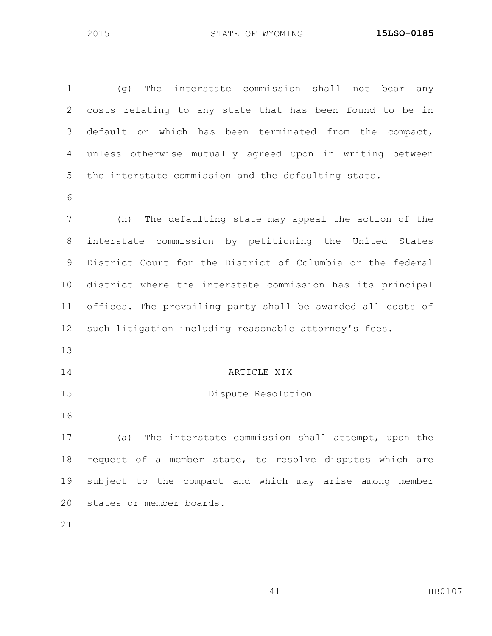(g) The interstate commission shall not bear any costs relating to any state that has been found to be in default or which has been terminated from the compact, unless otherwise mutually agreed upon in writing between the interstate commission and the defaulting state. (h) The defaulting state may appeal the action of the interstate commission by petitioning the United States District Court for the District of Columbia or the federal district where the interstate commission has its principal offices. The prevailing party shall be awarded all costs of such litigation including reasonable attorney's fees. ARTICLE XIX Dispute Resolution (a) The interstate commission shall attempt, upon the request of a member state, to resolve disputes which are subject to the compact and which may arise among member states or member boards.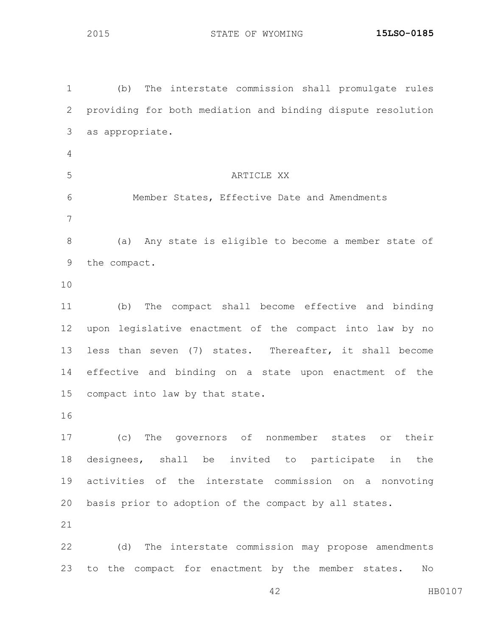(b) The interstate commission shall promulgate rules providing for both mediation and binding dispute resolution as appropriate. ARTICLE XX Member States, Effective Date and Amendments (a) Any state is eligible to become a member state of the compact. (b) The compact shall become effective and binding upon legislative enactment of the compact into law by no less than seven (7) states. Thereafter, it shall become effective and binding on a state upon enactment of the compact into law by that state. (c) The governors of nonmember states or their designees, shall be invited to participate in the activities of the interstate commission on a nonvoting basis prior to adoption of the compact by all states. (d) The interstate commission may propose amendments to the compact for enactment by the member states. No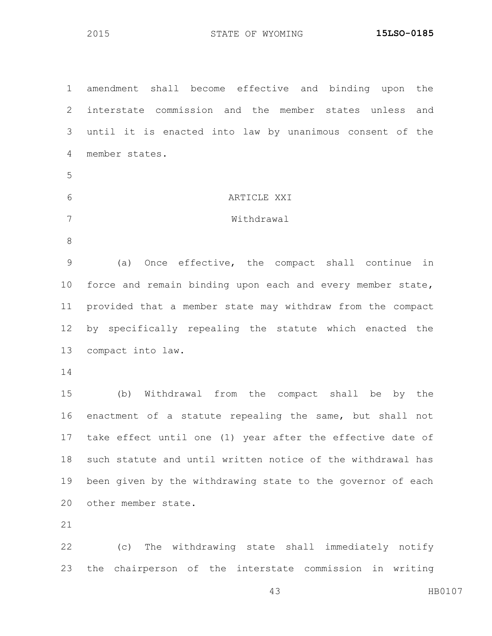| $\mathbf 1$     | amendment shall become effective and binding upon the         |
|-----------------|---------------------------------------------------------------|
| $\mathbf{2}$    | interstate commission and the member states unless<br>and     |
| 3               | until it is enacted into law by unanimous consent of the      |
| 4               | member states.                                                |
| 5               |                                                               |
| 6               | ARTICLE XXI                                                   |
| 7               | Withdrawal                                                    |
| 8               |                                                               |
| $\mathcal{G}$   | (a) Once effective, the compact shall continue in             |
| 10 <sub>o</sub> | force and remain binding upon each and every member state,    |
| 11              | provided that a member state may withdraw from the compact    |
| 12              | by specifically repealing the statute which enacted the       |
| 13              | compact into law.                                             |
| 14              |                                                               |
| 15              | (b) Withdrawal from the compact shall be by the               |
| 16              | enactment of a statute repealing the same, but shall not      |
|                 | 17 take effect until one (1) year after the effective date of |
| 18              | such statute and until written notice of the withdrawal has   |
| 19              | been given by the withdrawing state to the governor of each   |
| 20              | other member state.                                           |
| 21              |                                                               |
| 22              | (c) The withdrawing state shall immediately notify            |
| 23              | the chairperson of the interstate commission in writing       |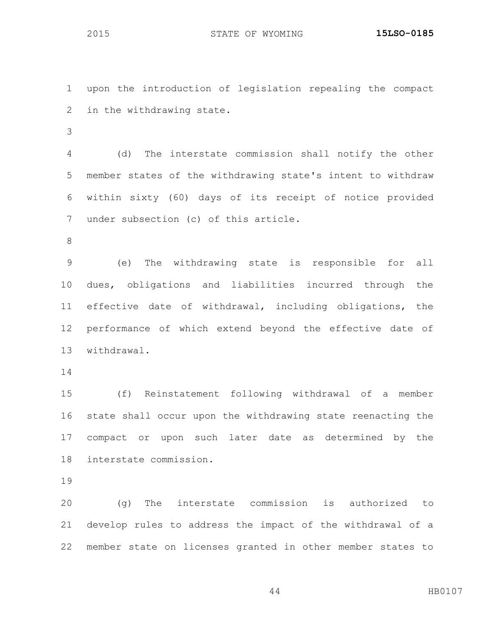upon the introduction of legislation repealing the compact in the withdrawing state.

 (d) The interstate commission shall notify the other member states of the withdrawing state's intent to withdraw within sixty (60) days of its receipt of notice provided under subsection (c) of this article.

 (e) The withdrawing state is responsible for all dues, obligations and liabilities incurred through the effective date of withdrawal, including obligations, the performance of which extend beyond the effective date of withdrawal.

 (f) Reinstatement following withdrawal of a member state shall occur upon the withdrawing state reenacting the compact or upon such later date as determined by the interstate commission.

 (g) The interstate commission is authorized to develop rules to address the impact of the withdrawal of a member state on licenses granted in other member states to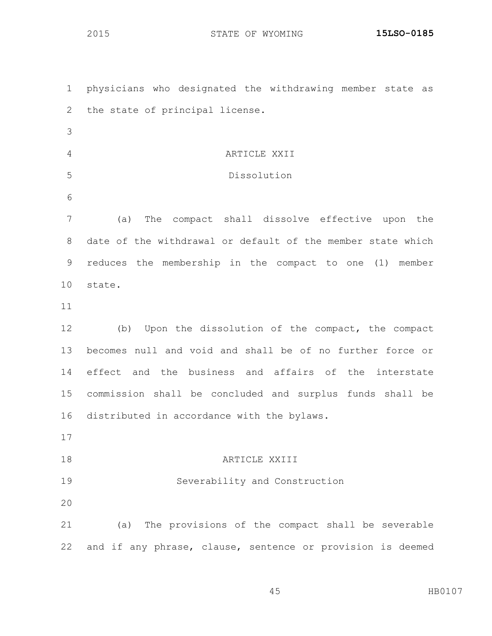| $\mathbf 1$ | physicians who designated the withdrawing member state as   |
|-------------|-------------------------------------------------------------|
| 2           | the state of principal license.                             |
| 3           |                                                             |
| 4           | ARTICLE XXII                                                |
| 5           | Dissolution                                                 |
| 6           |                                                             |
| 7           | The compact shall dissolve effective upon the<br>(a)        |
| 8           | date of the withdrawal or default of the member state which |
| 9           | reduces the membership in the compact to one (1) member     |
| 10          | state.                                                      |
| 11          |                                                             |
| 12          | (b) Upon the dissolution of the compact, the compact        |
|             |                                                             |
| 13          | becomes null and void and shall be of no further force or   |
| 14          | effect and the business and affairs of the interstate       |
| 15          | commission shall be concluded and surplus funds shall be    |
| 16          | distributed in accordance with the bylaws.                  |
|             |                                                             |
| 17<br>18    | ARTICLE XXIII                                               |
| 19          | Severability and Construction                               |
| 20          |                                                             |
| 21          | (a) The provisions of the compact shall be severable        |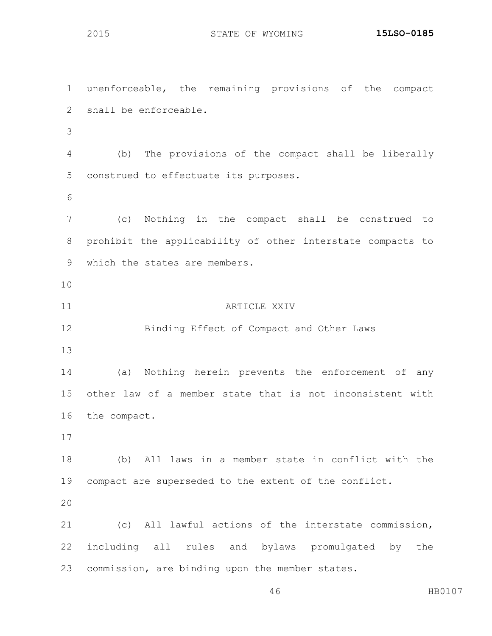unenforceable, the remaining provisions of the compact shall be enforceable. (b) The provisions of the compact shall be liberally construed to effectuate its purposes. (c) Nothing in the compact shall be construed to prohibit the applicability of other interstate compacts to which the states are members. **ARTICLE XXIV**  Binding Effect of Compact and Other Laws (a) Nothing herein prevents the enforcement of any other law of a member state that is not inconsistent with the compact. (b) All laws in a member state in conflict with the compact are superseded to the extent of the conflict. (c) All lawful actions of the interstate commission, including all rules and bylaws promulgated by the commission, are binding upon the member states.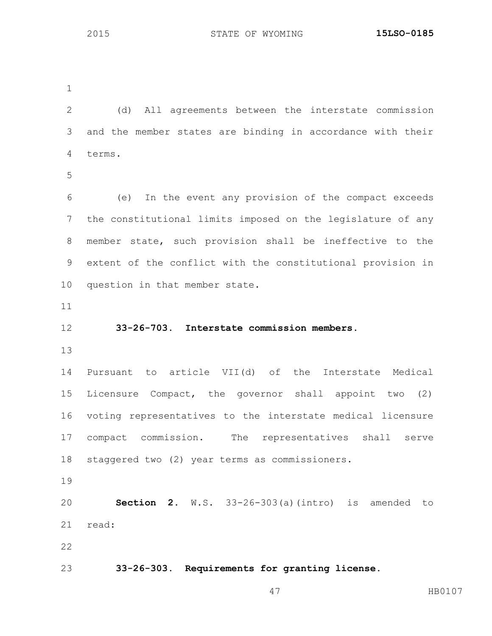(d) All agreements between the interstate commission and the member states are binding in accordance with their terms. (e) In the event any provision of the compact exceeds the constitutional limits imposed on the legislature of any member state, such provision shall be ineffective to the extent of the conflict with the constitutional provision in question in that member state. **33-26-703. Interstate commission members.** Pursuant to article VII(d) of the Interstate Medical Licensure Compact, the governor shall appoint two (2) voting representatives to the interstate medical licensure compact commission. The representatives shall serve staggered two (2) year terms as commissioners. **Section 2.** W.S. 33-26-303(a)(intro) is amended to read: **33-26-303. Requirements for granting license.**